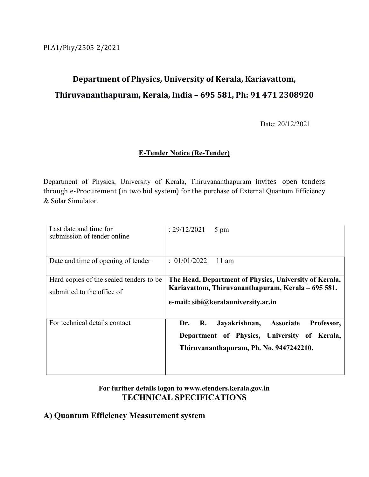# Department of Physics, University of Kerala, Kariavattom, Thiruvananthapuram, Kerala, India – 695 581, Ph: 91 471 2308920

Date: 20/12/2021

### E-Tender Notice (Re-Tender)

Department of Physics, University of Kerala, Thiruvananthapuram invites open tenders through e-Procurement (in two bid system) for the purchase of External Quantum Efficiency & Solar Simulator.

| Last date and time for<br>submission of tender online                 | : 29/12/2021<br>5 pm                                                                                                                                |
|-----------------------------------------------------------------------|-----------------------------------------------------------------------------------------------------------------------------------------------------|
| Date and time of opening of tender                                    | : 01/01/2022<br>$11 \text{ am}$                                                                                                                     |
| Hard copies of the sealed tenders to be<br>submitted to the office of | The Head, Department of Physics, University of Kerala,<br>Kariavattom, Thiruvananthapuram, Kerala – 695 581.<br>e-mail: sibi@keralauniversity.ac.in |
| For technical details contact                                         | Jayakrishnan,<br>R.<br>Associate<br>Professor,<br>Dr.<br>Department of Physics, University of Kerala,<br>Thiruvananthapuram, Ph. No. 9447242210.    |

## For further details logon to www.etenders.kerala.gov.in TECHNICAL SPECIFICATIONS

## A) Quantum Efficiency Measurement system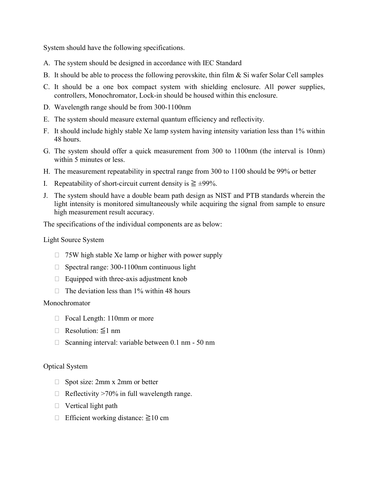System should have the following specifications.

- A. The system should be designed in accordance with IEC Standard
- B. It should be able to process the following perovskite, thin film & Si wafer Solar Cell samples
- C. It should be a one box compact system with shielding enclosure. All power supplies, controllers, Monochromator, Lock-in should be housed within this enclosure.
- D. Wavelength range should be from 300-1100nm
- E. The system should measure external quantum efficiency and reflectivity.
- F. It should include highly stable Xe lamp system having intensity variation less than 1% within 48 hours.
- G. The system should offer a quick measurement from 300 to 1100nm (the interval is 10nm) within 5 minutes or less.
- H. The measurement repeatability in spectral range from 300 to 1100 should be 99% or better
- I. Repeatability of short-circuit current density is  $\geq \pm 99\%$ .
- J. The system should have a double beam path design as NIST and PTB standards wherein the light intensity is monitored simultaneously while acquiring the signal from sample to ensure high measurement result accuracy.

The specifications of the individual components are as below:

#### Light Source System

- $\Box$  75W high stable Xe lamp or higher with power supply
- $\Box$  Spectral range: 300-1100nm continuous light
- $\Box$  Equipped with three-axis adjustment knob
- $\Box$  The deviation less than 1% within 48 hours

#### Monochromator

- □ Focal Length: 110mm or more
- Resolution: ≦1 nm
- $\Box$  Scanning interval: variable between 0.1 nm 50 nm

#### Optical System

- □ Spot size: 2mm x 2mm or better
- $\Box$  Reflectivity >70% in full wavelength range.
- $\Box$  Vertical light path
- Efficient working distance: ≧10 cm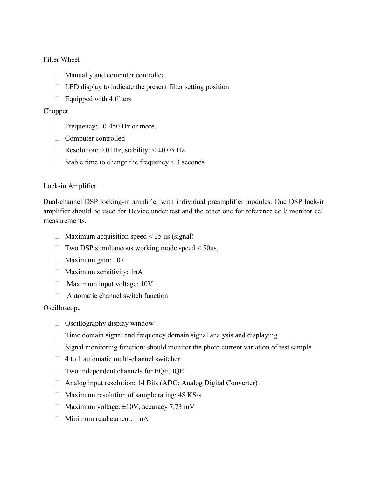Filter Wheel

- Manually and computer controlled.
- $\Box$  LED display to indicate the present filter setting position
- $\Box$  Equipped with 4 filters

#### Chopper

- $\Box$  Frequency: 10-450 Hz or more.
- Computer controlled
- $\Box$  Resolution: 0.01Hz, stability:  $\leq \pm 0.05$  Hz
- $\Box$  Stable time to change the frequency < 3 seconds

#### Lock-in Amplifier

Dual-channel DSP locking-in amplifier with individual preamplifier modules. One DSP lock-in amplifier should be used for Device under test and the other one for reference cell/ monitor cell measurements.

- $\Box$  Maximum acquisition speed < 25 us (signal)
- $\Box$  Two DSP simultaneous working mode speed  $\leq 50$ us,
- $\Box$  Maximum gain: 107
- $\Box$  Maximum sensitivity: 1nA
- $\Box$  Maximum input voltage: 10V
- $\Box$  Automatic channel switch function

#### Oscilloscope

- $\Box$  Oscillography display window
- $\Box$  Time domain signal and frequency domain signal analysis and displaying
- $\Box$  Signal monitoring function: should monitor the photo current variation of test sample
- $\Box$  4 to 1 automatic multi-channel switcher
- □ Two independent channels for EQE, IQE
- □ Analog input resolution: 14 Bits (ADC: Analog Digital Converter)
- $\Box$  Maximum resolution of sample rating: 48 KS/s
- $\Box$  Maximum voltage:  $\pm 10V$ , accuracy 7.73 mV
- Minimum read current: 1 nA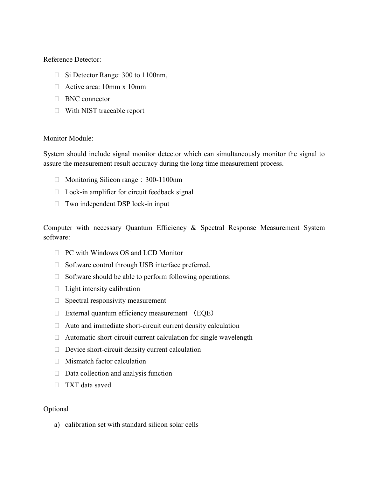Reference Detector:

- □ Si Detector Range: 300 to 1100nm,
- □ Active area: 10mm x 10mm
- **BNC** connector
- With NIST traceable report

#### Monitor Module:

System should include signal monitor detector which can simultaneously monitor the signal to assure the measurement result accuracy during the long time measurement process.

- $\Box$  Monitoring Silicon range: 300-1100nm
- $\Box$  Lock-in amplifier for circuit feedback signal
- □ Two independent DSP lock-in input

Computer with necessary Quantum Efficiency & Spectral Response Measurement System software:

- □ PC with Windows OS and LCD Monitor
- $\Box$  Software control through USB interface preferred.
- $\Box$  Software should be able to perform following operations:
- $\Box$  Light intensity calibration
- $\Box$  Spectral responsivity measurement
- $\Box$  External quantum efficiency measurement (EQE)
- $\Box$  Auto and immediate short-circuit current density calculation
- $\Box$  Automatic short-circuit current calculation for single wavelength
- $\Box$  Device short-circuit density current calculation
- Mismatch factor calculation
- $\Box$  Data collection and analysis function
- TXT data saved

#### Optional

a) calibration set with standard silicon solar cells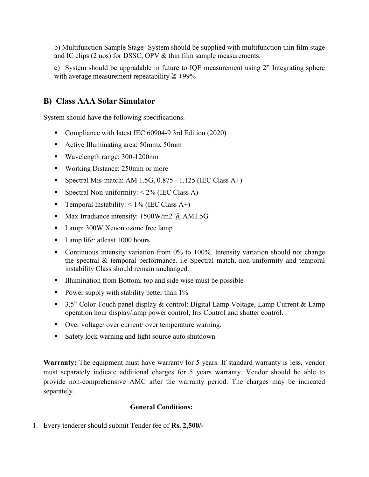b) Multifunction Sample Stage -System should be supplied with multifunction thin film stage and IC clips (2 nos) for DSSC, OPV & thin film sample measurements.

c) System should be upgradable in future to IQE measurement using 2" Integrating sphere with average measurement repeatability  $\geq \pm 99\%$ 

## B) Class AAA Solar Simulator

System should have the following specifications.

- Compliance with latest IEC 60904-9 3rd Edition (2020)
- Active Illuminating area: 50mmx 50mm
- Wavelength range: 300-1200nm
- Working Distance: 250mm or more
- Spectral Mis-match: AM 1.5G,  $0.875 1.125$  (IEC Class A+)
- Spectral Non-uniformity:  $\leq 2\%$  (IEC Class A)
- Temporal Instability:  $\leq 1\%$  (IEC Class A+)
- Max Irradiance intensity:  $1500$ W/m2 @ AM1.5G
- Lamp: 300W Xenon ozone free lamp
- Lamp life: at least 1000 hours
- Continuous intensity variation from  $0\%$  to 100%. Intensity variation should not change the spectral & temporal performance. i.e Spectral match, non-uniformity and temporal instability Class should remain unchanged.
- Illumination from Bottom, top and side wise must be possible
- Power supply with stability better than  $1\%$
- 3.5" Color Touch panel display & control: Digital Lamp Voltage, Lamp Current & Lamp operation hour display/lamp power control, Iris Control and shutter control.
- Over voltage/ over current/ over temperature warning.
- Safety lock warning and light source auto shutdown

Warranty: The equipment must have warranty for 5 years. If standard warranty is less, vendor must separately indicate additional charges for 5 years warranty. Vendor should be able to provide non-comprehensive AMC after the warranty period. The charges may be indicated separately.

#### General Conditions:

1. Every tenderer should submit Tender fee of Rs. 2,500/-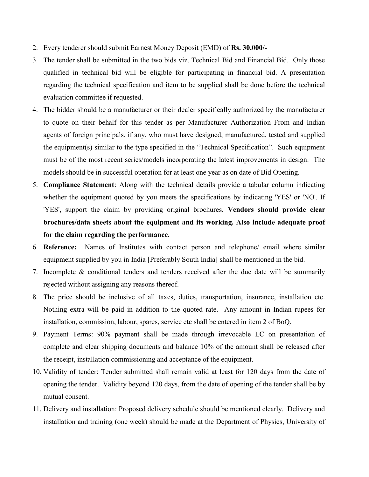- 2. Every tenderer should submit Earnest Money Deposit (EMD) of Rs. 30,000/-
- 3. The tender shall be submitted in the two bids viz. Technical Bid and Financial Bid. Only those qualified in technical bid will be eligible for participating in financial bid. A presentation regarding the technical specification and item to be supplied shall be done before the technical evaluation committee if requested.
- 4. The bidder should be a manufacturer or their dealer specifically authorized by the manufacturer to quote on their behalf for this tender as per Manufacturer Authorization From and Indian agents of foreign principals, if any, who must have designed, manufactured, tested and supplied the equipment(s) similar to the type specified in the "Technical Specification". Such equipment must be of the most recent series/models incorporating the latest improvements in design. The models should be in successful operation for at least one year as on date of Bid Opening.
- 5. Compliance Statement: Along with the technical details provide a tabular column indicating whether the equipment quoted by you meets the specifications by indicating 'YES' or 'NO'. If 'YES', support the claim by providing original brochures. Vendors should provide clear brochures/data sheets about the equipment and its working. Also include adequate proof for the claim regarding the performance.
- 6. Reference: Names of Institutes with contact person and telephone/ email where similar equipment supplied by you in India [Preferably South India] shall be mentioned in the bid.
- 7. Incomplete & conditional tenders and tenders received after the due date will be summarily rejected without assigning any reasons thereof.
- 8. The price should be inclusive of all taxes, duties, transportation, insurance, installation etc. Nothing extra will be paid in addition to the quoted rate. Any amount in Indian rupees for installation, commission, labour, spares, service etc shall be entered in item 2 of BoQ.
- 9. Payment Terms: 90% payment shall be made through irrevocable LC on presentation of complete and clear shipping documents and balance 10% of the amount shall be released after the receipt, installation commissioning and acceptance of the equipment.
- 10. Validity of tender: Tender submitted shall remain valid at least for 120 days from the date of opening the tender. Validity beyond 120 days, from the date of opening of the tender shall be by mutual consent.
- 11. Delivery and installation: Proposed delivery schedule should be mentioned clearly. Delivery and installation and training (one week) should be made at the Department of Physics, University of